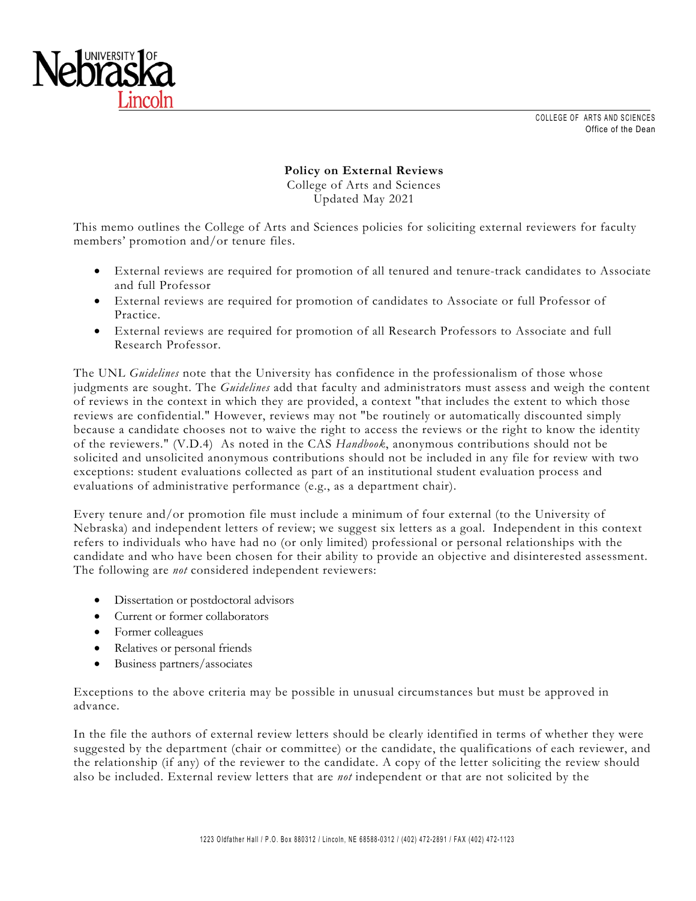



**Policy on External Reviews**  College of Arts and Sciences Updated May 2021

This memo outlines the College of Arts and Sciences policies for soliciting external reviewers for faculty members' promotion and/or tenure files.

- External reviews are required for promotion of all tenured and tenure-track candidates to Associate and full Professor
- External reviews are required for promotion of candidates to Associate or full Professor of Practice.
- External reviews are required for promotion of all Research Professors to Associate and full Research Professor.

The UNL *Guidelines* note that the University has confidence in the professionalism of those whose judgments are sought. The *Guidelines* add that faculty and administrators must assess and weigh the content of reviews in the context in which they are provided, a context "that includes the extent to which those reviews are confidential." However, reviews may not "be routinely or automatically discounted simply because a candidate chooses not to waive the right to access the reviews or the right to know the identity of the reviewers." (V.D.4) As noted in the CAS *Handbook*, anonymous contributions should not be solicited and unsolicited anonymous contributions should not be included in any file for review with two exceptions: student evaluations collected as part of an institutional student evaluation process and evaluations of administrative performance (e.g., as a department chair).

Every tenure and/or promotion file must include a minimum of four external (to the University of Nebraska) and independent letters of review; we suggest six letters as a goal. Independent in this context refers to individuals who have had no (or only limited) professional or personal relationships with the candidate and who have been chosen for their ability to provide an objective and disinterested assessment. The following are *not* considered independent reviewers:

- Dissertation or postdoctoral advisors
- Current or former collaborators
- Former colleagues
- Relatives or personal friends
- Business partners/associates

Exceptions to the above criteria may be possible in unusual circumstances but must be approved in advance.

In the file the authors of external review letters should be clearly identified in terms of whether they were suggested by the department (chair or committee) or the candidate, the qualifications of each reviewer, and the relationship (if any) of the reviewer to the candidate. A copy of the letter soliciting the review should also be included. External review letters that are *not* independent or that are not solicited by the